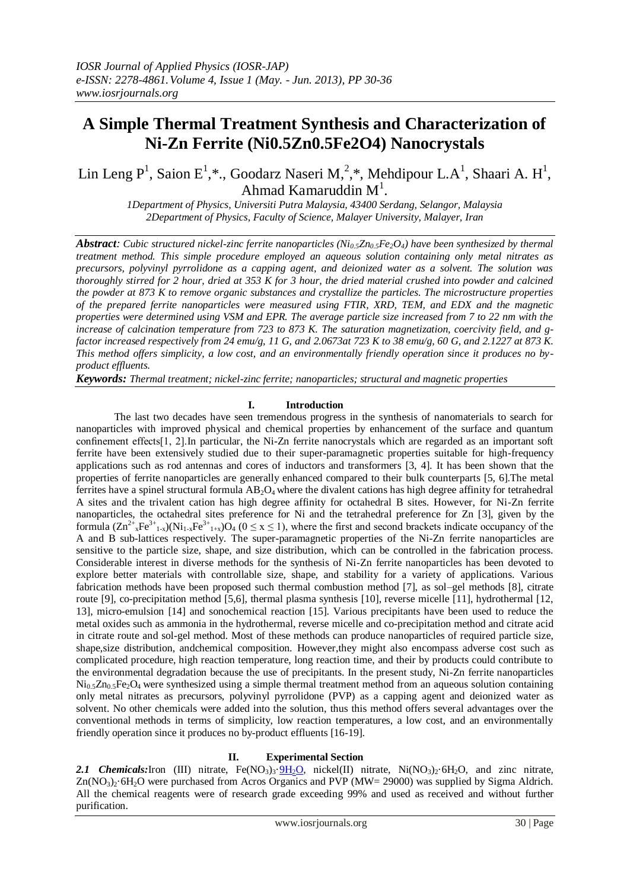# **A Simple Thermal Treatment Synthesis and Characterization of Ni-Zn Ferrite (Ni0.5Zn0.5Fe2O4) Nanocrystals**

Lin Leng P<sup>1</sup>, Saion E<sup>1</sup>,\*., Goodarz Naseri M,<sup>2</sup>,\*, Mehdipour L.A<sup>1</sup>, Shaari A. H<sup>1</sup>, Ahmad Kamaruddin  $M<sup>1</sup>$ .

*1Department of Physics, Universiti Putra Malaysia, 43400 Serdang, Selangor, Malaysia 2Department of Physics, Faculty of Science, Malayer University, Malayer, Iran*

*Abstract:* Cubic structured nickel-zinc ferrite nanoparticles ( $Ni<sub>0.5</sub>Zn<sub>0.5</sub>Fe<sub>2</sub>O<sub>4</sub>$ ) have been synthesized by thermal *treatment method. This simple procedure employed an aqueous solution containing only metal nitrates as precursors, polyvinyl pyrrolidone as a capping agent, and deionized water as a solvent. The solution was thoroughly stirred for 2 hour, dried at 353 K for 3 hour, the dried material crushed into powder and calcined the powder at 873 K to remove organic substances and crystallize the particles. The microstructure properties of the prepared ferrite nanoparticles were measured using FTIR, XRD, TEM, and EDX and the magnetic properties were determined using VSM and EPR. The average particle size increased from 7 to 22 nm with the increase of calcination temperature from 723 to 873 K. The saturation magnetization, coercivity field, and gfactor increased respectively from 24 emu/g, 11 G, and 2.0673at 723 K to 38 emu/g, 60 G, and 2.1227 at 873 K. This method offers simplicity, a low cost, and an environmentally friendly operation since it produces no byproduct effluents.*

*Keywords: Thermal treatment; nickel-zinc ferrite; nanoparticles; structural and magnetic properties*

#### **I. Introduction**

The last two decades have seen tremendous progress in the synthesis of nanomaterials to search for nanoparticles with improved physical and chemical properties by enhancement of the surface and quantum confinement effects[1, 2].In particular, the Ni-Zn ferrite nanocrystals which are regarded as an important soft ferrite have been extensively studied due to their super-paramagnetic properties suitable for high-frequency applications such as rod antennas and cores of inductors and transformers [3, 4]. It has been shown that the properties of ferrite nanoparticles are generally enhanced compared to their bulk counterparts [5, 6].The metal ferrites have a spinel structural formula  $AB_2O_4$  where the divalent cations has high degree affinity for tetrahedral A sites and the trivalent cation has high degree affinity for octahedral B sites. However, for Ni-Zn ferrite nanoparticles, the octahedral sites preference for Ni and the tetrahedral preference for Zn [3], given by the formula  $(Zn^{2+}xFe^{3+}1-x)(Ni_{1-x}Fe^{3+}1+x)O_4$  ( $0 \le x \le 1$ ), where the first and second brackets indicate occupancy of the A and B sub-lattices respectively. The super-paramagnetic properties of the Ni-Zn ferrite nanoparticles are sensitive to the particle size, shape, and size distribution, which can be controlled in the fabrication process. Considerable interest in diverse methods for the synthesis of Ni-Zn ferrite nanoparticles has been devoted to explore better materials with controllable size, shape, and stability for a variety of applications. Various fabrication methods have been proposed such thermal combustion method [7], as sol–gel methods [8], citrate route [9], co-precipitation method [5,6], thermal plasma synthesis [10], reverse micelle [11], hydrothermal [12, 13], micro-emulsion [14] and sonochemical reaction [15]. Various precipitants have been used to reduce the metal oxides such as ammonia in the hydrothermal, reverse micelle and co-precipitation method and citrate acid in citrate route and sol-gel method. Most of these methods can produce nanoparticles of required particle size, shape,size distribution, andchemical composition. However,they might also encompass adverse cost such as complicated procedure, high reaction temperature, long reaction time, and their by products could contribute to the environmental degradation because the use of precipitants. In the present study, Ni-Zn ferrite nanoparticles  $Ni<sub>0.5</sub>Zn<sub>0.5</sub>Fe<sub>2</sub>O<sub>4</sub>$  were synthesized using a simple thermal treatment method from an aqueous solution containing only metal nitrates as precursors, polyvinyl pyrrolidone (PVP) as a capping agent and deionized water as solvent. No other chemicals were added into the solution, thus this method offers several advantages over the conventional methods in terms of simplicity, low reaction temperatures, a low cost, and an environmentally friendly operation since it produces no by-product effluents [16-19].

#### **II. Experimental Section**

2.1 *Chemicals:* Iron (III) nitrate, Fe(NO<sub>3</sub>)<sub>3</sub>.  $\frac{9H_2O}{9H_2O}$ , nickel(II) nitrate, Ni(NO<sub>3</sub>)<sub>2</sub>·6H<sub>2</sub>O, and zinc nitrate,  $Zn(NO<sub>3</sub>)<sub>2</sub>·6H<sub>2</sub>O$  were purchased from Acros Organics and PVP (MW= 29000) was supplied by Sigma Aldrich. All the chemical reagents were of research grade exceeding 99% and used as received and without further purification.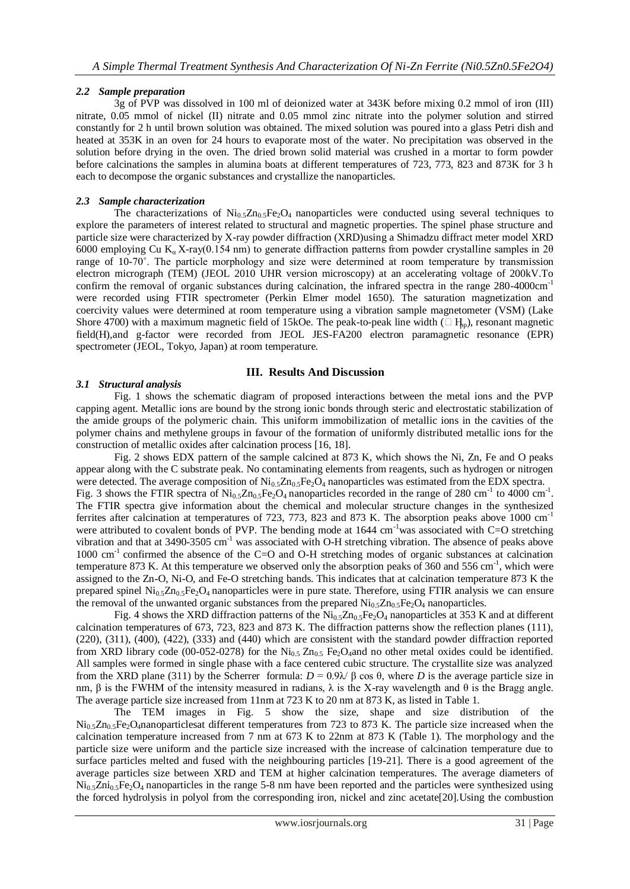## *2.2 Sample preparation*

3g of PVP was dissolved in 100 ml of deionized water at 343K before mixing 0.2 mmol of iron (III) nitrate, 0.05 mmol of nickel (II) nitrate and 0.05 mmol zinc nitrate into the polymer solution and stirred constantly for 2 h until brown solution was obtained. The mixed solution was poured into a glass Petri dish and heated at 353K in an oven for 24 hours to evaporate most of the water. No precipitation was observed in the solution before drying in the oven. The dried brown solid material was crushed in a mortar to form powder before calcinations the samples in alumina boats at different temperatures of 723, 773, 823 and 873K for 3 h each to decompose the organic substances and crystallize the nanoparticles.

## *2.3 Sample characterization*

The characterizations of  $Ni<sub>0.5</sub>Te<sub>2</sub>O<sub>4</sub>$  nanoparticles were conducted using several techniques to explore the parameters of interest related to structural and magnetic properties. The spinel phase structure and particle size were characterized by X-ray powder diffraction (XRD)using a Shimadzu diffract meter model XRD 6000 employing Cu K<sub>a</sub> X-ray(0.154 nm) to generate diffraction patterns from powder crystalline samples in 2θ range of 10-70˚. The particle morphology and size were determined at room temperature by transmission electron micrograph (TEM) (JEOL 2010 UHR version microscopy) at an accelerating voltage of 200kV.To confirm the removal of organic substances during calcination, the infrared spectra in the range 280-4000cm<sup>-1</sup> were recorded using FTIR spectrometer (Perkin Elmer model 1650). The saturation magnetization and coercivity values were determined at room temperature using a vibration sample magnetometer (VSM) (Lake Shore 4700) with a maximum magnetic field of 15kOe. The peak-to-peak line width ( $\Box$  H<sub>n</sub>), resonant magnetic field(H),and g-factor were recorded from JEOL JES-FA200 electron paramagnetic resonance (EPR) spectrometer (JEOL, Tokyo, Japan) at room temperature.

### **III. Results And Discussion**

### *3.1 Structural analysis*

Fig. 1 shows the schematic diagram of proposed interactions between the metal ions and the PVP capping agent. Metallic ions are bound by the strong ionic bonds through steric and electrostatic stabilization of the amide groups of the polymeric chain. This uniform immobilization of metallic ions in the cavities of the polymer chains and methylene groups in favour of the formation of uniformly distributed metallic ions for the construction of metallic oxides after calcination process [16, 18].

Fig. 2 shows EDX pattern of the sample calcined at 873 K, which shows the Ni, Zn, Fe and O peaks appear along with the C substrate peak. No contaminating elements from reagents, such as hydrogen or nitrogen were detected. The average composition of  $Ni_{0.5}Zn_{0.5}Fe_2O_4$  nanoparticles was estimated from the EDX spectra. Fig. 3 shows the FTIR spectra of  $\text{Ni}_{0.5}\text{Zn}_{0.5}\text{Fe}_2\text{O}_4$  nanoparticles recorded in the range of 280 cm<sup>-1</sup> to 4000 cm<sup>-1</sup>. The FTIR spectra give information about the chemical and molecular structure changes in the synthesized ferrites after calcination at temperatures of 723, 773, 823 and 873 K. The absorption peaks above 1000  $cm^{-1}$ were attributed to covalent bonds of PVP. The bending mode at  $1644 \text{ cm}^{-1}$  was associated with C=O stretching vibration and that at 3490-3505 cm<sup>-1</sup> was associated with O-H stretching vibration. The absence of peaks above 1000 cm-1 confirmed the absence of the C=O and O-H stretching modes of organic substances at calcination temperature 873 K. At this temperature we observed only the absorption peaks of 360 and 556 cm<sup>-1</sup>, which were assigned to the Zn-O, Ni-O, and Fe-O stretching bands. This indicates that at calcination temperature 873 K the prepared spinel  $Ni<sub>0.5</sub>Zn<sub>0.5</sub>Fe<sub>2</sub>O<sub>4</sub>$  nanoparticles were in pure state. Therefore, using FTIR analysis we can ensure the removal of the unwanted organic substances from the prepared  $Ni_{0.5}Zn_{0.5}Fe_2O_4$  nanoparticles.

Fig. 4 shows the XRD diffraction patterns of the  $Ni<sub>0.5</sub>Zn<sub>0.5</sub>Fe<sub>2</sub>O<sub>4</sub>$  nanoparticles at 353 K and at different calcination temperatures of 673, 723, 823 and 873 K. The diffraction patterns show the reflection planes (111), (220), (311), (400), (422), (333) and (440) which are consistent with the standard powder diffraction reported from XRD library code (00-052-0278) for the  $Ni<sub>0.5</sub> Zn<sub>0.5</sub> Fe<sub>2</sub>O<sub>4</sub>$  and no other metal oxides could be identified. All samples were formed in single phase with a face centered cubic structure. The crystallite size was analyzed from the XRD plane (311) by the Scherrer formula:  $D = 0.9\lambda/\beta \cos \theta$ , where *D* is the average particle size in nm, β is the FWHM of the intensity measured in radians,  $\lambda$  is the X-ray wavelength and θ is the Bragg angle. The average particle size increased from 11nm at 723 K to 20 nm at 873 K, as listed in Table 1.

The TEM images in Fig. 5 show the size, shape and size distribution of the  $Ni<sub>0.5</sub>Zn<sub>0.5</sub>Fe<sub>2</sub>O<sub>4</sub>$ nanoparticlesat different temperatures from 723 to 873 K. The particle size increased when the calcination temperature increased from 7 nm at 673 K to 22nm at 873 K (Table 1). The morphology and the particle size were uniform and the particle size increased with the increase of calcination temperature due to surface particles melted and fused with the neighbouring particles [19-21]. There is a good agreement of the average particles size between XRD and TEM at higher calcination temperatures. The average diameters of  $\text{Ni}_{0.5}\text{Zni}_{0.5}\text{Fe}_2\text{O}_4$  nanoparticles in the range 5-8 nm have been reported and the particles were synthesized using the forced hydrolysis in polyol from the corresponding iron, nickel and zinc acetate[20].Using the combustion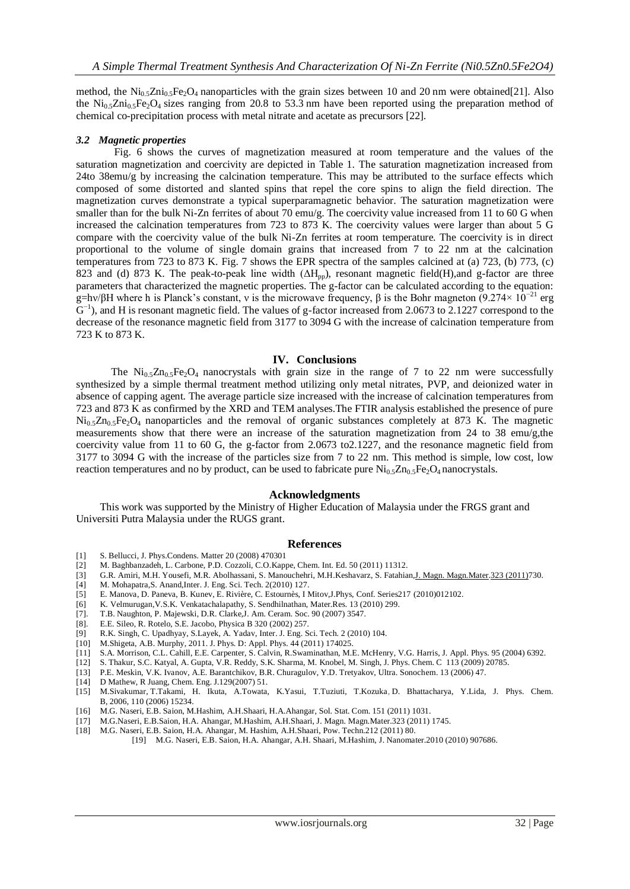method, the Ni<sub>0.5</sub>Zni<sub>0.5</sub>Fe<sub>2</sub>O<sub>4</sub> nanoparticles with the grain sizes between 10 and 20 nm were obtained[21]. Also the Ni<sub>0.5</sub>Zni<sub>0.5</sub>Fe<sub>2</sub>O<sub>4</sub> sizes ranging from 20.8 to 53.3 nm have been reported using the preparation method of chemical co-precipitation process with metal nitrate and acetate as precursors [22].

#### *3.2 Magnetic properties*

Fig. 6 shows the curves of magnetization measured at room temperature and the values of the saturation magnetization and coercivity are depicted in Table 1. The saturation magnetization increased from 24to 38emu/g by increasing the calcination temperature. This may be attributed to the surface effects which composed of some distorted and slanted spins that repel the core spins to align the field direction. The magnetization curves demonstrate a typical superparamagnetic behavior. The saturation magnetization were smaller than for the bulk Ni-Zn ferrites of about 70 emu/g. The coercivity value increased from 11 to 60 G when increased the calcination temperatures from 723 to 873 K. The coercivity values were larger than about 5 G compare with the coercivity value of the bulk Ni-Zn ferrites at room temperature. The coercivity is in direct proportional to the volume of single domain grains that increased from 7 to 22 nm at the calcination temperatures from 723 to 873 K. Fig. 7 shows the EPR spectra of the samples calcined at (a) 723, (b) 773, (c) 823 and (d) 873 K. The peak-to-peak line width (ΔH<sub>pp</sub>), resonant magnetic field(H),and g-factor are three parameters that characterized the magnetic properties. The g-factor can be calculated according to the equation: g=hν/βH where h is Planck's constant, v is the microwave frequency, β is the Bohr magneton  $(9.274 \times 10^{-21}$  erg  $G^{-1}$ ), and H is resonant magnetic field. The values of g-factor increased from 2.0673 to 2.1227 correspond to the decrease of the resonance magnetic field from 3177 to 3094 G with the increase of calcination temperature from 723 K to 873 K.

#### **IV. Conclusions**

The  $Ni<sub>0.5</sub>Zn<sub>0.5</sub>Fe<sub>2</sub>O<sub>4</sub>$  nanocrystals with grain size in the range of 7 to 22 nm were successfully synthesized by a simple thermal treatment method utilizing only metal nitrates, PVP, and deionized water in absence of capping agent. The average particle size increased with the increase of calcination temperatures from 723 and 873 K as confirmed by the XRD and TEM analyses.The FTIR analysis established the presence of pure  $Ni<sub>0.5</sub>Zn<sub>0.5</sub>Fe<sub>2</sub>O<sub>4</sub>$  nanoparticles and the removal of organic substances completely at 873 K. The magnetic measurements show that there were an increase of the saturation magnetization from 24 to 38 emu/g,the coercivity value from 11 to 60 G, the g-factor from 2.0673 to2.1227, and the resonance magnetic field from 3177 to 3094 G with the increase of the particles size from 7 to 22 nm. This method is simple, low cost, low reaction temperatures and no by product, can be used to fabricate pure  $Ni_{0.5}Zn_{0.5}Fe_2O_4$  nanocrystals.

### **Acknowledgments**

This work was supported by the Ministry of Higher Education of Malaysia under the FRGS grant and Universiti Putra Malaysia under the RUGS grant.

#### **References**

- [1] S. Bellucci, J. Phys.Condens. Matter 20 (2008) 470301
- [2] M. Baghbanzadeh, L. Carbone, P.D. Cozzoli, C.O.Kappe, Chem. Int. Ed. 50 (2011) 11312.
- [3] G.R. Amiri, M.H. Yousefi, M.R. Abolhassani, S. Manouchehri, M.H.Keshavarz, S. Fatahian,J. Magn. [Magn.Mater.](http://www.sciencedirect.com/science/journal/03048853)323 [\(2011\)7](http://www.sciencedirect.com/science/journal/03048853/323/6)30.
- [4] M. Mohapatra,S. Anand,Inter. J. Eng. Sci. Tech. 2(2010) 127.
- [5] E. Manova, D. Paneva, B. Kunev, E. Rivière, C. Estournès, I Mitov,J.Phys, Conf. Series217 (2010)012102.
- [6] K. Velmurugan,V.S.K. Venkatachalapathy, S. Sendhilnathan, Mater.Res. 13 (2010) 299.
- [7]. T.B. Naughton, P. Majewski, D.R. Clarke,J. Am. Ceram. Soc. 90 (2007) 3547.
- [8]. E.E. Sileo, R. Rotelo, S.E. Jacobo, Physica B 320 (2002) 257.
- [9] R.K. Singh, C. Upadhyay, S.Layek, A. Yadav, Inter. J. Eng. Sci. Tech. 2 (2010) 104.
- [10] M.Shigeta, A.B. Murphy, 2011. J. Phys. D: Appl. Phys. 44 (2011) 174025.
- S.A. Morrison, C.L. Cahill, E.E. Carpenter, S. Calvin, R.Swaminathan, M.E. McHenry, V.G. Harris, J. Appl. Phys. 95 (2004) 6392. [11] S.A. Morrison, C.L. Cahill, E.E. Carpenter, S. Calvin, R.Swaminathan, M.E. McHenry, V.G. Harris, J. Appl. Phys. 95 (2012) S. Thakur, S.C. Katyal, A. Gupta, V.R. Reddy, S.K. Sharma, M. Knobel, M. Singh, J. Phys. Chem.
- 
- [13] P.E. Meskin, V.K. Ivanov, A.E. Barantchikov, B.R. Churagulov, Y.D. Tretyakov, Ultra. Sonochem. 13 (2006) 47.
- [14] D Mathew, R Juang, Chem. Eng. J.129(2007) 51.
- [15] M.Sivakumar, T.Takami, H. Ikuta, A.Towata, K.Yasui, T.Tuziuti, T.Kozuka, D. Bhattacharya, Y.Lida, J. Phys. Chem. B, 2006, 110 (2006) 15234.
- [16] M.G. Naseri, E.B. Saion, M.Hashim, A.H.Shaari, H.A.Ahangar, Sol. Stat. Com. 151 (2011) 1031.
- [17] M.G.Naseri, E.B.Saion, H.A. Ahangar, M.Hashim, A.H.Shaari, J. Magn. Magn.Mater.323 (2011) 1745.
- [18] M.G. Naseri, E.B. Saion, H.A. Ahangar, M. Hashim, A.H.Shaari, Pow. Techn.212 (2011) 80. [19] M.G. Naseri, E.B. Saion, H.A. Ahangar, A.H. Shaari, M.Hashim, J. Nanomater.2010 (2010) 907686.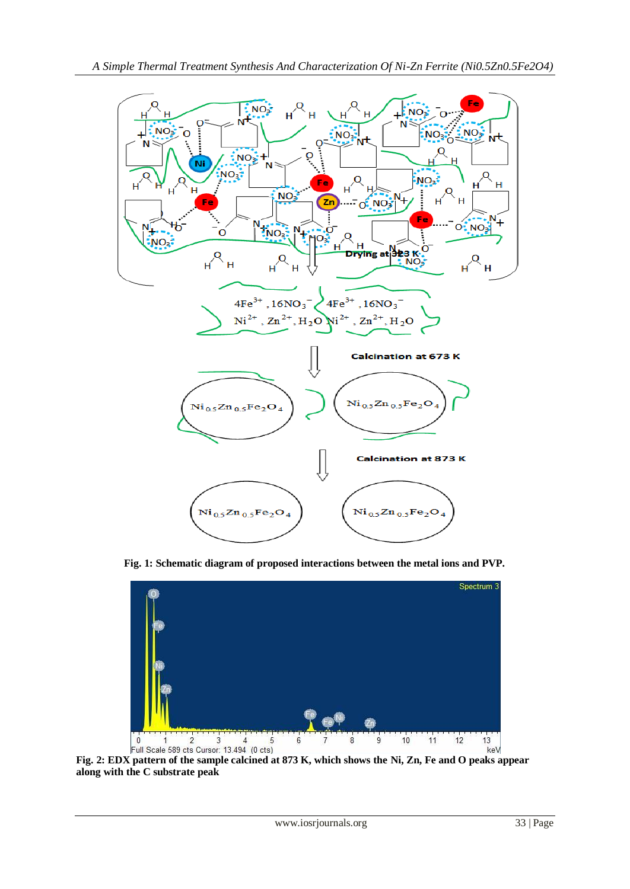

**Fig. 1: Schematic diagram of proposed interactions between the metal ions and PVP.**



Full Scale 589 cts Cursor: 13.494 (0 cts)<br>Fig. 2: EDX pattern of the sample calcined at 873 K, which shows the Ni, Zn, Fe and O peaks appear **along with the C substrate peak**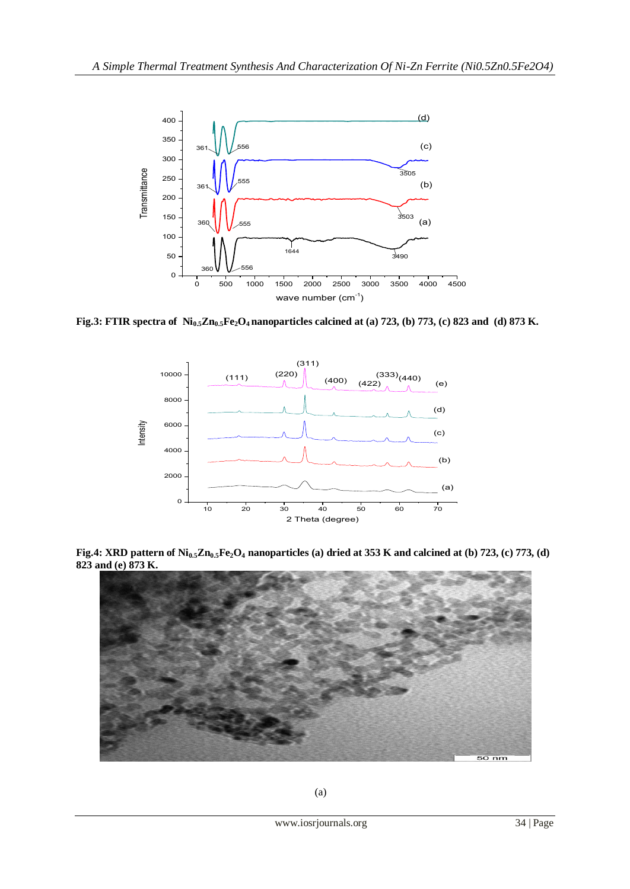

**Fig.3: FTIR spectra of Ni0.5Zn0.5Fe2O4 nanoparticles calcined at (a) 723, (b) 773, (c) 823 and (d) 873 K.**



**Fig.4: XRD pattern of Ni0.5Zn0.5Fe2O<sup>4</sup> nanoparticles (a) dried at 353 K and calcined at (b) 723, (c) 773, (d) 823 and (e) 873 K.**

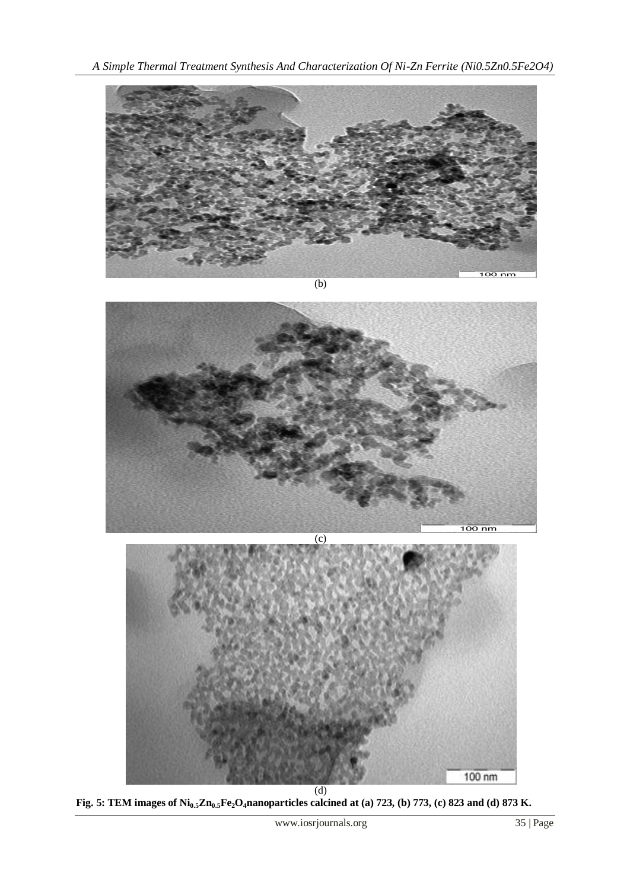

**Fig. 5: TEM images of Ni0.5Zn0.5Fe2O4nanoparticles calcined at (a) 723, (b) 773, (c) 823 and (d) 873 K.**